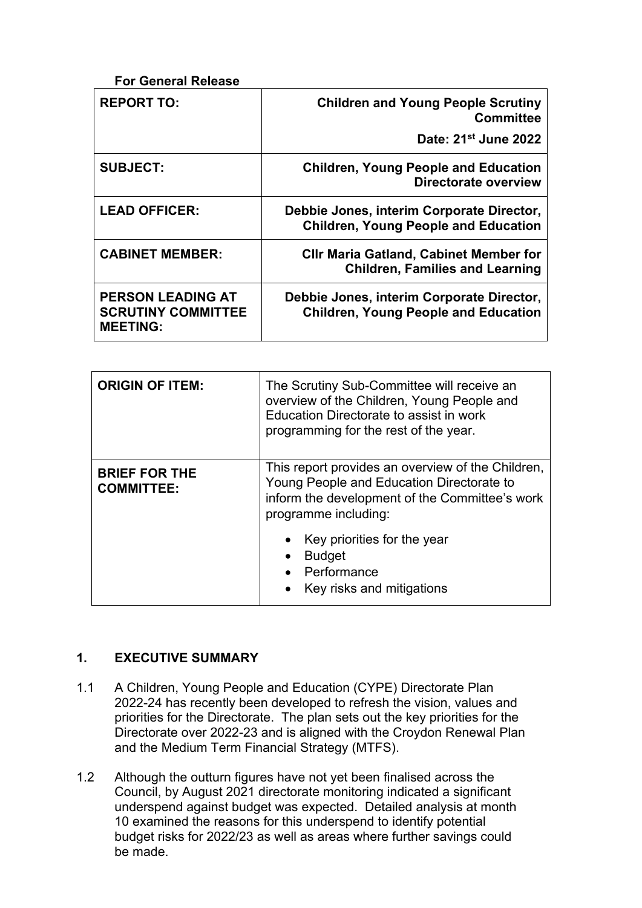| <b>REPORT TO:</b>                                                        | <b>Children and Young People Scrutiny</b><br><b>Committee</b>                            |
|--------------------------------------------------------------------------|------------------------------------------------------------------------------------------|
|                                                                          | Date: 21 <sup>st</sup> June 2022                                                         |
| <b>SUBJECT:</b>                                                          | <b>Children, Young People and Education</b><br>Directorate overview                      |
| <b>LEAD OFFICER:</b>                                                     | Debbie Jones, interim Corporate Director,<br><b>Children, Young People and Education</b> |
| <b>CABINET MEMBER:</b>                                                   | <b>CIIr Maria Gatland, Cabinet Member for</b><br><b>Children, Families and Learning</b>  |
| <b>PERSON LEADING AT</b><br><b>SCRUTINY COMMITTEE</b><br><b>MEETING:</b> | Debbie Jones, interim Corporate Director,<br><b>Children, Young People and Education</b> |

| <b>ORIGIN OF ITEM:</b>                    | The Scrutiny Sub-Committee will receive an<br>overview of the Children, Young People and<br>Education Directorate to assist in work<br>programming for the rest of the year. |
|-------------------------------------------|------------------------------------------------------------------------------------------------------------------------------------------------------------------------------|
| <b>BRIEF FOR THE</b><br><b>COMMITTEE:</b> | This report provides an overview of the Children,<br>Young People and Education Directorate to<br>inform the development of the Committee's work<br>programme including:     |
|                                           | Key priorities for the year<br><b>Budget</b><br>Performance<br>Key risks and mitigations                                                                                     |

# **1. EXECUTIVE SUMMARY**

- 1.1 A Children, Young People and Education (CYPE) Directorate Plan 2022-24 has recently been developed to refresh the vision, values and priorities for the Directorate. The plan sets out the key priorities for the Directorate over 2022-23 and is aligned with the Croydon Renewal Plan and the Medium Term Financial Strategy (MTFS).
- 1.2 Although the outturn figures have not yet been finalised across the Council, by August 2021 directorate monitoring indicated a significant underspend against budget was expected. Detailed analysis at month 10 examined the reasons for this underspend to identify potential budget risks for 2022/23 as well as areas where further savings could be made.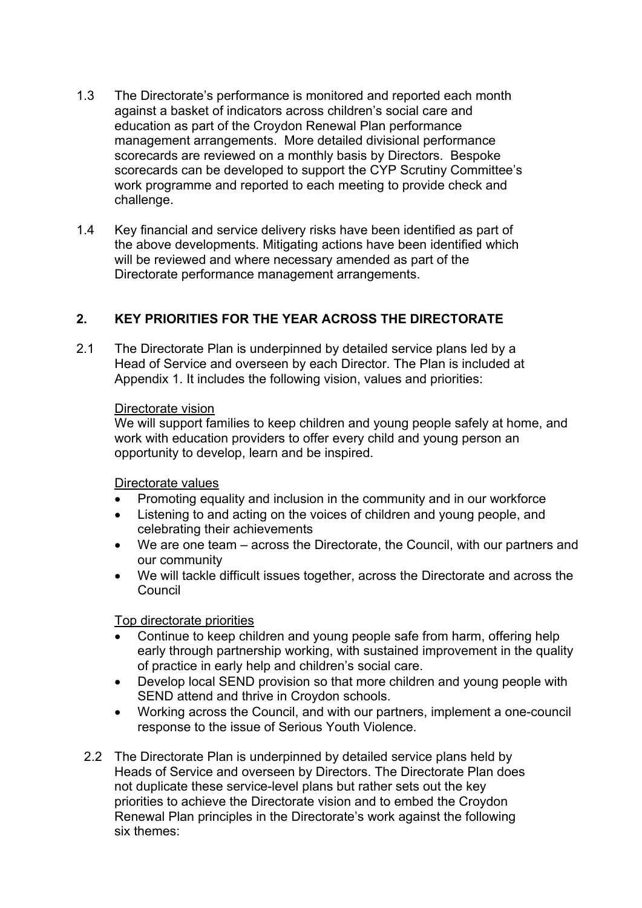- 1.3 The Directorate's performance is monitored and reported each month against a basket of indicators across children's social care and education as part of the Croydon Renewal Plan performance management arrangements. More detailed divisional performance scorecards are reviewed on a monthly basis by Directors. Bespoke scorecards can be developed to support the CYP Scrutiny Committee's work programme and reported to each meeting to provide check and challenge.
- 1.4 Key financial and service delivery risks have been identified as part of the above developments. Mitigating actions have been identified which will be reviewed and where necessary amended as part of the Directorate performance management arrangements.

# **2. KEY PRIORITIES FOR THE YEAR ACROSS THE DIRECTORATE**

2.1 The Directorate Plan is underpinned by detailed service plans led by a Head of Service and overseen by each Director. The Plan is included at Appendix 1. It includes the following vision, values and priorities:

#### Directorate vision

We will support families to keep children and young people safely at home, and work with education providers to offer every child and young person an opportunity to develop, learn and be inspired.

Directorate values

- Promoting equality and inclusion in the community and in our workforce
- Listening to and acting on the voices of children and young people, and celebrating their achievements
- We are one team across the Directorate, the Council, with our partners and our community
- We will tackle difficult issues together, across the Directorate and across the Council

Top directorate priorities

- Continue to keep children and young people safe from harm, offering help early through partnership working, with sustained improvement in the quality of practice in early help and children's social care.
- Develop local SEND provision so that more children and young people with SEND attend and thrive in Croydon schools.
- Working across the Council, and with our partners, implement a one-council response to the issue of Serious Youth Violence.
- 2.2 The Directorate Plan is underpinned by detailed service plans held by Heads of Service and overseen by Directors. The Directorate Plan does not duplicate these service-level plans but rather sets out the key priorities to achieve the Directorate vision and to embed the Croydon Renewal Plan principles in the Directorate's work against the following six themes: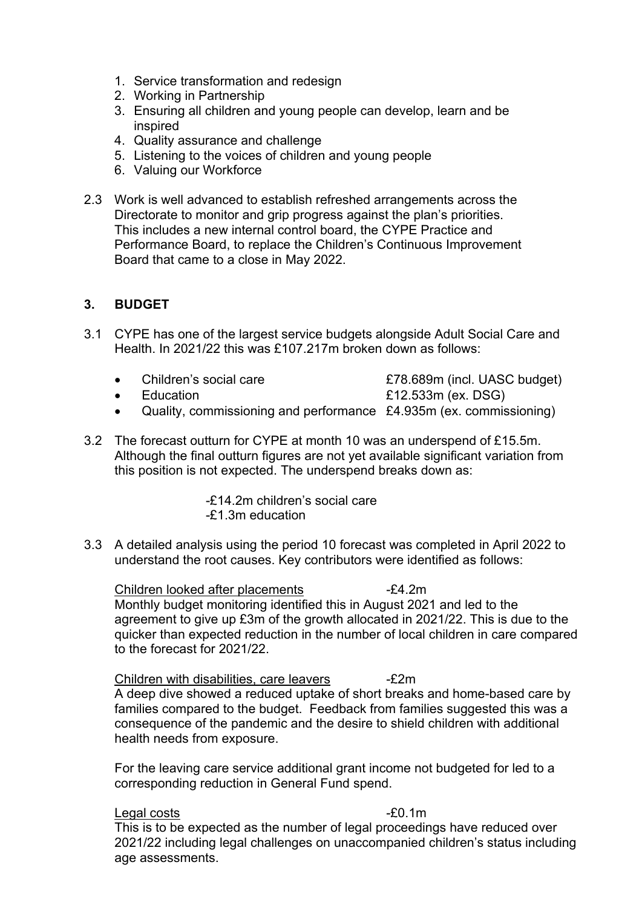- 1. Service transformation and redesign
- 2. Working in Partnership
- 3. Ensuring all children and young people can develop, learn and be inspired
- 4. Quality assurance and challenge
- 5. Listening to the voices of children and young people
- 6. Valuing our Workforce
- 2.3 Work is well advanced to establish refreshed arrangements across the Directorate to monitor and grip progress against the plan's priorities. This includes a new internal control board, the CYPE Practice and Performance Board, to replace the Children's Continuous Improvement Board that came to a close in May 2022.

# **3. BUDGET**

- 3.1 CYPE has one of the largest service budgets alongside Adult Social Care and Health. In 2021/22 this was £107.217m broken down as follows:
	- Children's social care **E78.689m** (incl. UASC budget)

• Education **Example 2018** E12.533m (ex. DSG)

- Quality, commissioning and performance £4.935m (ex. commissioning)
- 3.2 The forecast outturn for CYPE at month 10 was an underspend of £15.5m. Although the final outturn figures are not yet available significant variation from this position is not expected. The underspend breaks down as:

-£14.2m children's social care -£1.3m education

3.3 A detailed analysis using the period 10 forecast was completed in April 2022 to understand the root causes. Key contributors were identified as follows:

Children looked after placements -£4.2m Monthly budget monitoring identified this in August 2021 and led to the agreement to give up £3m of the growth allocated in 2021/22. This is due to the quicker than expected reduction in the number of local children in care compared to the forecast for 2021/22.

Children with disabilities, care leavers -£2m

A deep dive showed a reduced uptake of short breaks and home-based care by families compared to the budget. Feedback from families suggested this was a consequence of the pandemic and the desire to shield children with additional health needs from exposure.

For the leaving care service additional grant income not budgeted for led to a corresponding reduction in General Fund spend.

#### Legal costs **-**£0.1m

This is to be expected as the number of legal proceedings have reduced over 2021/22 including legal challenges on unaccompanied children's status including age assessments.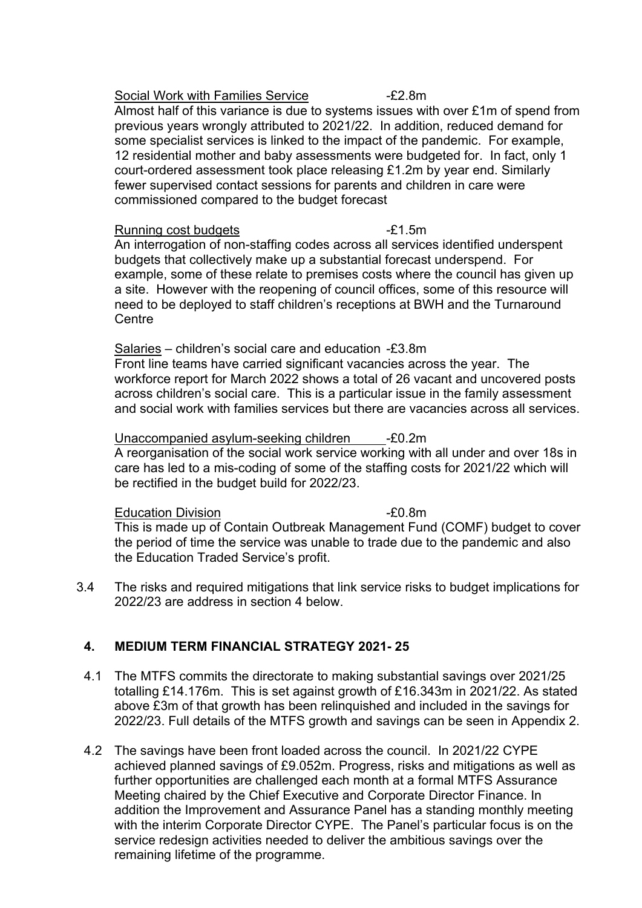#### Social Work with Families Service -£2.8m

Almost half of this variance is due to systems issues with over £1m of spend from previous years wrongly attributed to 2021/22. In addition, reduced demand for some specialist services is linked to the impact of the pandemic. For example, 12 residential mother and baby assessments were budgeted for. In fact, only 1 court-ordered assessment took place releasing £1.2m by year end. Similarly fewer supervised contact sessions for parents and children in care were commissioned compared to the budget forecast

#### Running cost budgets -£1.5m

An interrogation of non-staffing codes across all services identified underspent budgets that collectively make up a substantial forecast underspend. For example, some of these relate to premises costs where the council has given up a site. However with the reopening of council offices, some of this resource will need to be deployed to staff children's receptions at BWH and the Turnaround **Centre** 

Salaries – children's social care and education -£3.8m Front line teams have carried significant vacancies across the year. The workforce report for March 2022 shows a total of 26 vacant and uncovered posts across children's social care. This is a particular issue in the family assessment and social work with families services but there are vacancies across all services.

Unaccompanied asylum-seeking children -£0.2m A reorganisation of the social work service working with all under and over 18s in care has led to a mis-coding of some of the staffing costs for 2021/22 which will be rectified in the budget build for 2022/23.

Education Division **Education** Division

This is made up of Contain Outbreak Management Fund (COMF) budget to cover the period of time the service was unable to trade due to the pandemic and also the Education Traded Service's profit.

3.4 The risks and required mitigations that link service risks to budget implications for 2022/23 are address in section 4 below.

# **4. MEDIUM TERM FINANCIAL STRATEGY 2021- 25**

- 4.1 The MTFS commits the directorate to making substantial savings over 2021/25 totalling £14.176m. This is set against growth of £16.343m in 2021/22. As stated above £3m of that growth has been relinquished and included in the savings for 2022/23. Full details of the MTFS growth and savings can be seen in Appendix 2.
- 4.2 The savings have been front loaded across the council. In 2021/22 CYPE achieved planned savings of £9.052m. Progress, risks and mitigations as well as further opportunities are challenged each month at a formal MTFS Assurance Meeting chaired by the Chief Executive and Corporate Director Finance. In addition the Improvement and Assurance Panel has a standing monthly meeting with the interim Corporate Director CYPE. The Panel's particular focus is on the service redesign activities needed to deliver the ambitious savings over the remaining lifetime of the programme.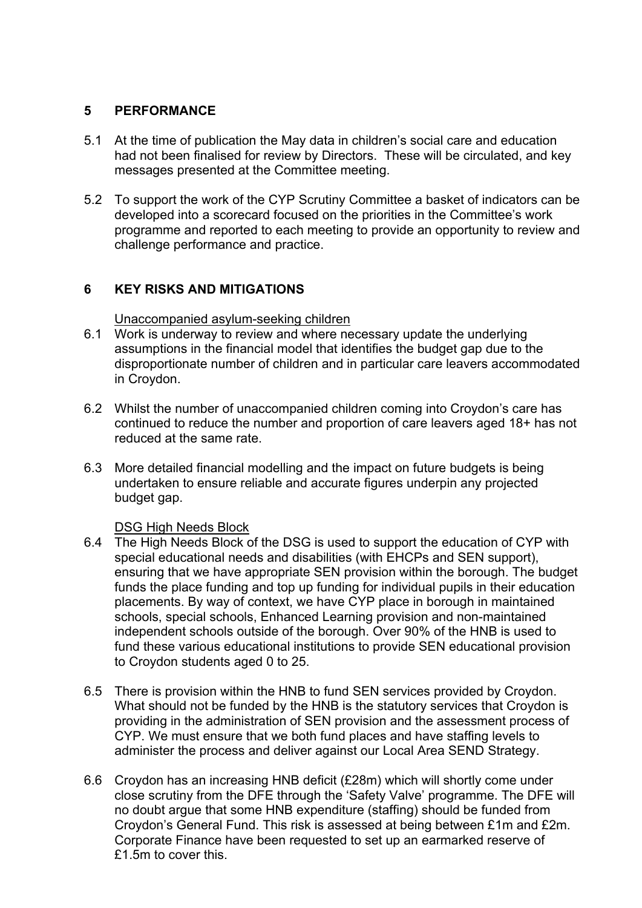#### **5 PERFORMANCE**

- 5.1 At the time of publication the May data in children's social care and education had not been finalised for review by Directors. These will be circulated, and key messages presented at the Committee meeting.
- 5.2 To support the work of the CYP Scrutiny Committee a basket of indicators can be developed into a scorecard focused on the priorities in the Committee's work programme and reported to each meeting to provide an opportunity to review and challenge performance and practice.

# **6 KEY RISKS AND MITIGATIONS**

Unaccompanied asylum-seeking children

- 6.1 Work is underway to review and where necessary update the underlying assumptions in the financial model that identifies the budget gap due to the disproportionate number of children and in particular care leavers accommodated in Croydon.
- 6.2 Whilst the number of unaccompanied children coming into Croydon's care has continued to reduce the number and proportion of care leavers aged 18+ has not reduced at the same rate.
- 6.3 More detailed financial modelling and the impact on future budgets is being undertaken to ensure reliable and accurate figures underpin any projected budget gap.

# DSG High Needs Block

- 6.4 The High Needs Block of the DSG is used to support the education of CYP with special educational needs and disabilities (with EHCPs and SEN support), ensuring that we have appropriate SEN provision within the borough. The budget funds the place funding and top up funding for individual pupils in their education placements. By way of context, we have CYP place in borough in maintained schools, special schools, Enhanced Learning provision and non-maintained independent schools outside of the borough. Over 90% of the HNB is used to fund these various educational institutions to provide SEN educational provision to Croydon students aged 0 to 25.
- 6.5 There is provision within the HNB to fund SEN services provided by Croydon. What should not be funded by the HNB is the statutory services that Croydon is providing in the administration of SEN provision and the assessment process of CYP. We must ensure that we both fund places and have staffing levels to administer the process and deliver against our Local Area SEND Strategy.
- 6.6 Croydon has an increasing HNB deficit (£28m) which will shortly come under close scrutiny from the DFE through the 'Safety Valve' programme. The DFE will no doubt argue that some HNB expenditure (staffing) should be funded from Croydon's General Fund. This risk is assessed at being between £1m and £2m. Corporate Finance have been requested to set up an earmarked reserve of £1.5m to cover this.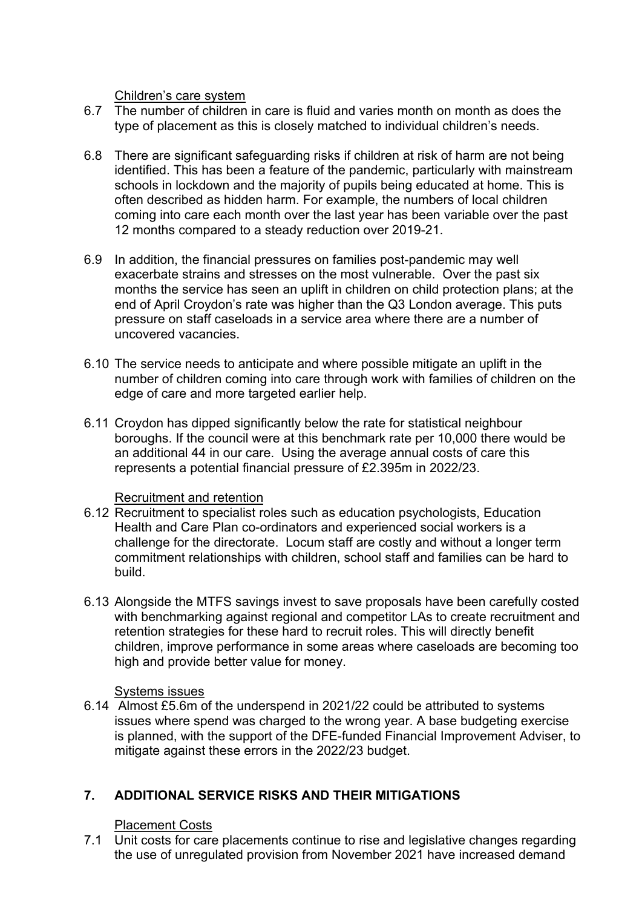Children's care system

- 6.7 The number of children in care is fluid and varies month on month as does the type of placement as this is closely matched to individual children's needs.
- 6.8 There are significant safeguarding risks if children at risk of harm are not being identified. This has been a feature of the pandemic, particularly with mainstream schools in lockdown and the majority of pupils being educated at home. This is often described as hidden harm. For example, the numbers of local children coming into care each month over the last year has been variable over the past 12 months compared to a steady reduction over 2019-21.
- 6.9 In addition, the financial pressures on families post-pandemic may well exacerbate strains and stresses on the most vulnerable. Over the past six months the service has seen an uplift in children on child protection plans; at the end of April Croydon's rate was higher than the Q3 London average. This puts pressure on staff caseloads in a service area where there are a number of uncovered vacancies.
- 6.10 The service needs to anticipate and where possible mitigate an uplift in the number of children coming into care through work with families of children on the edge of care and more targeted earlier help.
- 6.11 Croydon has dipped significantly below the rate for statistical neighbour boroughs. If the council were at this benchmark rate per 10,000 there would be an additional 44 in our care. Using the average annual costs of care this represents a potential financial pressure of £2.395m in 2022/23.

#### Recruitment and retention

- 6.12 Recruitment to specialist roles such as education psychologists, Education Health and Care Plan co-ordinators and experienced social workers is a challenge for the directorate. Locum staff are costly and without a longer term commitment relationships with children, school staff and families can be hard to build.
- 6.13 Alongside the MTFS savings invest to save proposals have been carefully costed with benchmarking against regional and competitor LAs to create recruitment and retention strategies for these hard to recruit roles. This will directly benefit children, improve performance in some areas where caseloads are becoming too high and provide better value for money.

#### Systems issues

6.14 Almost £5.6m of the underspend in 2021/22 could be attributed to systems issues where spend was charged to the wrong year. A base budgeting exercise is planned, with the support of the DFE-funded Financial Improvement Adviser, to mitigate against these errors in the 2022/23 budget.

# **7. ADDITIONAL SERVICE RISKS AND THEIR MITIGATIONS**

#### Placement Costs

7.1 Unit costs for care placements continue to rise and legislative changes regarding the use of unregulated provision from November 2021 have increased demand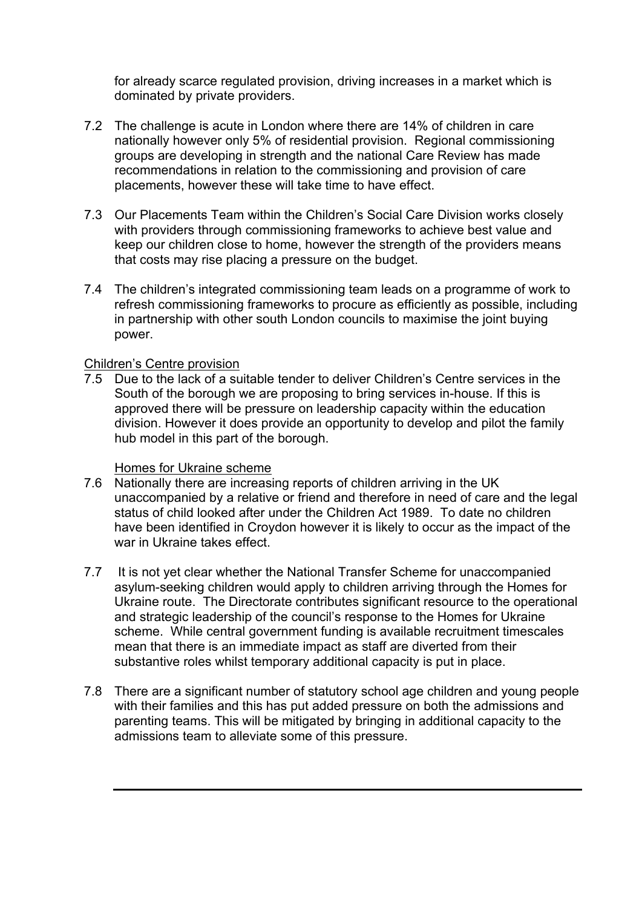for already scarce regulated provision, driving increases in a market which is dominated by private providers.

- 7.2 The challenge is acute in London where there are 14% of children in care nationally however only 5% of residential provision. Regional commissioning groups are developing in strength and the national Care Review has made recommendations in relation to the commissioning and provision of care placements, however these will take time to have effect.
- 7.3 Our Placements Team within the Children's Social Care Division works closely with providers through commissioning frameworks to achieve best value and keep our children close to home, however the strength of the providers means that costs may rise placing a pressure on the budget.
- 7.4 The children's integrated commissioning team leads on a programme of work to refresh commissioning frameworks to procure as efficiently as possible, including in partnership with other south London councils to maximise the joint buying power.

#### Children's Centre provision

7.5 Due to the lack of a suitable tender to deliver Children's Centre services in the South of the borough we are proposing to bring services in-house. If this is approved there will be pressure on leadership capacity within the education division. However it does provide an opportunity to develop and pilot the family hub model in this part of the borough.

#### Homes for Ukraine scheme

- 7.6 Nationally there are increasing reports of children arriving in the UK unaccompanied by a relative or friend and therefore in need of care and the legal status of child looked after under the Children Act 1989. To date no children have been identified in Croydon however it is likely to occur as the impact of the war in Ukraine takes effect.
- 7.7 It is not yet clear whether the National Transfer Scheme for unaccompanied asylum-seeking children would apply to children arriving through the Homes for Ukraine route. The Directorate contributes significant resource to the operational and strategic leadership of the council's response to the Homes for Ukraine scheme. While central government funding is available recruitment timescales mean that there is an immediate impact as staff are diverted from their substantive roles whilst temporary additional capacity is put in place.
- 7.8 There are a significant number of statutory school age children and young people with their families and this has put added pressure on both the admissions and parenting teams. This will be mitigated by bringing in additional capacity to the admissions team to alleviate some of this pressure.